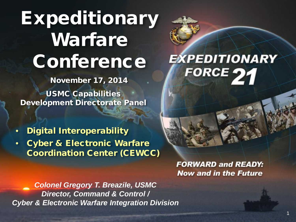## Expeditionary Warfare **Conference**

November 17, 2014

USMC Capabilities Development Directorate Panel

• Digital Interoperability

**Cyber & Electronic Warfare** Coordination Center (CEWCC)

> **FORWARD and READY: Now and in the Future**

EXPEDITIONARY

FORCE 21

1

*Colonel Gregory T. Breazile, USMC Director, Command & Control / Cyber & Electronic Warfare Integration Division*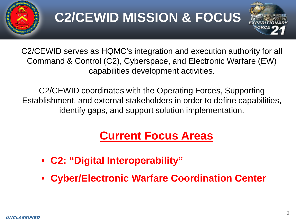

### **C2/CEWID MISSION & FOCUS**



C2/CEWID serves as HQMC's integration and execution authority for all Command & Control (C2), Cyberspace, and Electronic Warfare (EW) capabilities development activities.

C2/CEWID coordinates with the Operating Forces, Supporting Establishment, and external stakeholders in order to define capabilities, identify gaps, and support solution implementation.

#### **Current Focus Areas**

- **C2: "Digital Interoperability"**
- **Cyber/Electronic Warfare Coordination Center**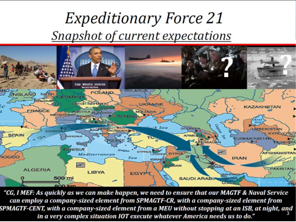#### *Expeditionary Force 21* Snapshot of current expectations



"CG, I MEF: As quickly as we can make happen, we need to ensure that our MAGTF & Naval Service can employ a company-sized element from SPMAGTF-CR, with a company-sized element from SPMAGTF-CENT, with a company-sized element from a MEU without stopping at an ISB, at night, and<br>in a very complex situation IOT execute whatever America needs us to do." UNCLASSIFIED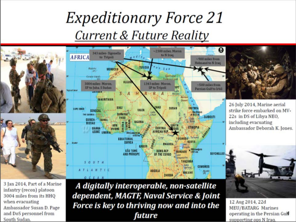#### *Expeditionary Force 21* **Current & Future Reality**



3 Jan 2014, Part of a Marine infantry (recon) platoon 3004 miles from its HHQ when evacuating Ambassador Susan D. Page and DoS personnel from South Sudan.

A digitally interoperable, non-satellite dependent, MAGTF, Naval Service & Joint **Force is key to thriving now and into the**  $\frac{12 \text{ Aug } 2014, 220}{\text{MEU/BATARG } \text{ Marines}}$ future

12 Aug 2014, 22d supporting ops N Iraq.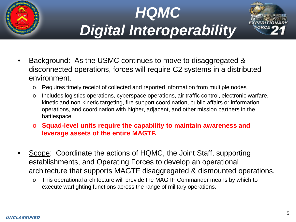





- Background: As the USMC continues to move to disaggregated & disconnected operations, forces will require C2 systems in a distributed environment.
	- o Requires timely receipt of collected and reported information from multiple nodes
	- o Includes logistics operations, cyberspace operations, air traffic control, electronic warfare, kinetic and non-kinetic targeting, fire support coordination, public affairs or information operations, and coordination with higher, adjacent, and other mission partners in the battlespace.
	- o **Squad-level units require the capability to maintain awareness and leverage assets of the entire MAGTF.**
- Scope: Coordinate the actions of HQMC, the Joint Staff, supporting establishments, and Operating Forces to develop an operational architecture that supports MAGTF disaggregated & dismounted operations.
	- o This operational architecture will provide the MAGTF Commander means by which to execute warfighting functions across the range of military operations.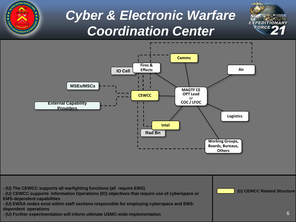

UNCLASSIFIED CONTINUES.

#### *Cyber & Electronic Warfare Coordination Center*